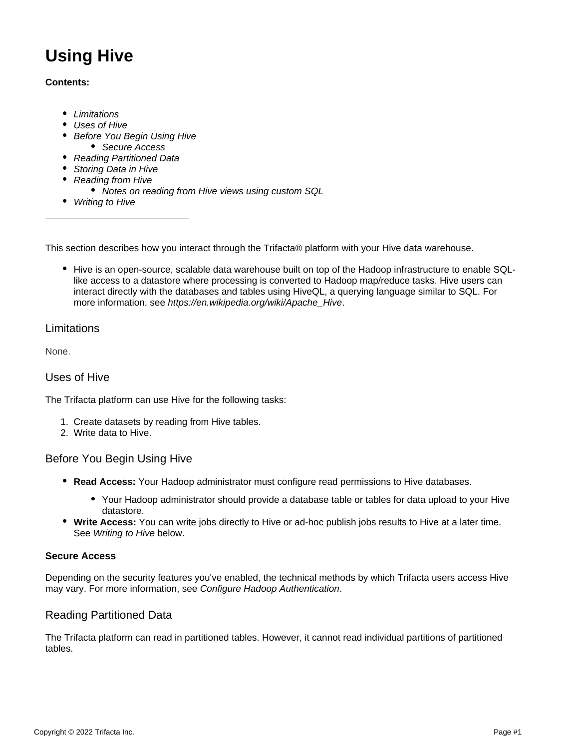# **Using Hive**

#### **Contents:**

- [Limitations](#page-0-0)
- [Uses of Hive](#page-0-1)
- [Before You Begin Using Hive](#page-0-2)
	- [Secure Access](#page-0-3)
- [Reading Partitioned Data](#page-0-4)
- [Storing Data in Hive](#page-1-0)
- [Reading from Hive](#page-1-1)
	- [Notes on reading from Hive views using custom SQL](#page-1-2)
- [Writing to Hive](#page-1-3)

This section describes how you interact through the Trifacta® platform with your Hive data warehouse.

• Hive is an open-source, scalable data warehouse built on top of the Hadoop infrastructure to enable SQLlike access to a datastore where processing is converted to Hadoop map/reduce tasks. Hive users can interact directly with the databases and tables using HiveQL, a querying language similar to SQL. For more information, see [https://en.wikipedia.org/wiki/Apache\\_Hive](https://en.wikipedia.org/wiki/Apache_Hive).

## <span id="page-0-0"></span>Limitations

None.

## <span id="page-0-1"></span>Uses of Hive

The Trifacta platform can use Hive for the following tasks:

- 1. Create datasets by reading from Hive tables.
- 2. Write data to Hive.

# <span id="page-0-2"></span>Before You Begin Using Hive

- **Read Access:** Your Hadoop administrator must configure read permissions to Hive databases.
	- Your Hadoop administrator should provide a database table or tables for data upload to your Hive datastore.
- **Write Access:** You can write jobs directly to Hive or ad-hoc publish jobs results to Hive at a later time. See [Writing to Hive](#page-1-3) below.

#### <span id="page-0-3"></span>**Secure Access**

Depending on the security features you've enabled, the technical methods by which Trifacta users access Hive may vary. For more information, see [Configure Hadoop Authentication](https://docs.trifacta.com/display/r071/Configure+Hadoop+Authentication).

# <span id="page-0-4"></span>Reading Partitioned Data

The Trifacta platform can read in partitioned tables. However, it cannot read individual partitions of partitioned tables.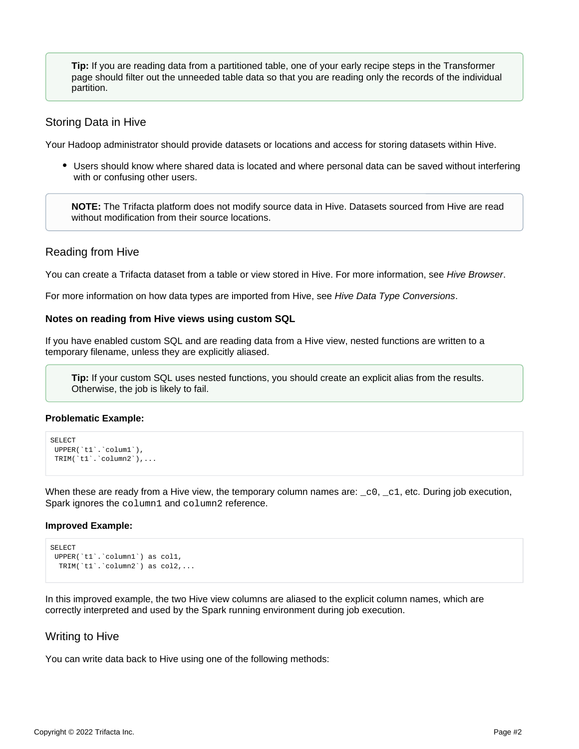**Tip:** If you are reading data from a partitioned table, one of your early recipe steps in the Transformer page should filter out the unneeded table data so that you are reading only the records of the individual partition.

## <span id="page-1-0"></span>Storing Data in Hive

Your Hadoop administrator should provide datasets or locations and access for storing datasets within Hive.

Users should know where shared data is located and where personal data can be saved without interfering with or confusing other users.

**NOTE:** The Trifacta platform does not modify source data in Hive. Datasets sourced from Hive are read without modification from their source locations.

## <span id="page-1-1"></span>Reading from Hive

You can create a Trifacta dataset from a table or view stored in Hive. For more information, see [Hive Browser](https://docs.trifacta.com/display/r071/Hive+Browser).

For more information on how data types are imported from Hive, see [Hive Data Type Conversions](https://docs.trifacta.com/display/r071/Hive+Data+Type+Conversions).

#### <span id="page-1-2"></span>**Notes on reading from Hive views using custom SQL**

If you have enabled custom SQL and are reading data from a Hive view, nested functions are written to a temporary filename, unless they are explicitly aliased.

**Tip:** If your custom SQL uses nested functions, you should create an explicit alias from the results. Otherwise, the job is likely to fail.

#### **Problematic Example:**

```
SELECT
UPPER(`t1`.`colum1`),
TRIM(`t1`.`column2`),...
```
When these are ready from a Hive view, the temporary column names are:  $\text{\_c0}, \text{\_c1}, \text{etc. During job execution}$ , Spark ignores the column1 and column2 reference.

#### **Improved Example:**

```
SELECT
UPPER(`t1`.`column1`) as col1,
 TRIM(`t1`.`column2`) as col2,...
```
In this improved example, the two Hive view columns are aliased to the explicit column names, which are correctly interpreted and used by the Spark running environment during job execution.

#### <span id="page-1-3"></span>Writing to Hive

You can write data back to Hive using one of the following methods: